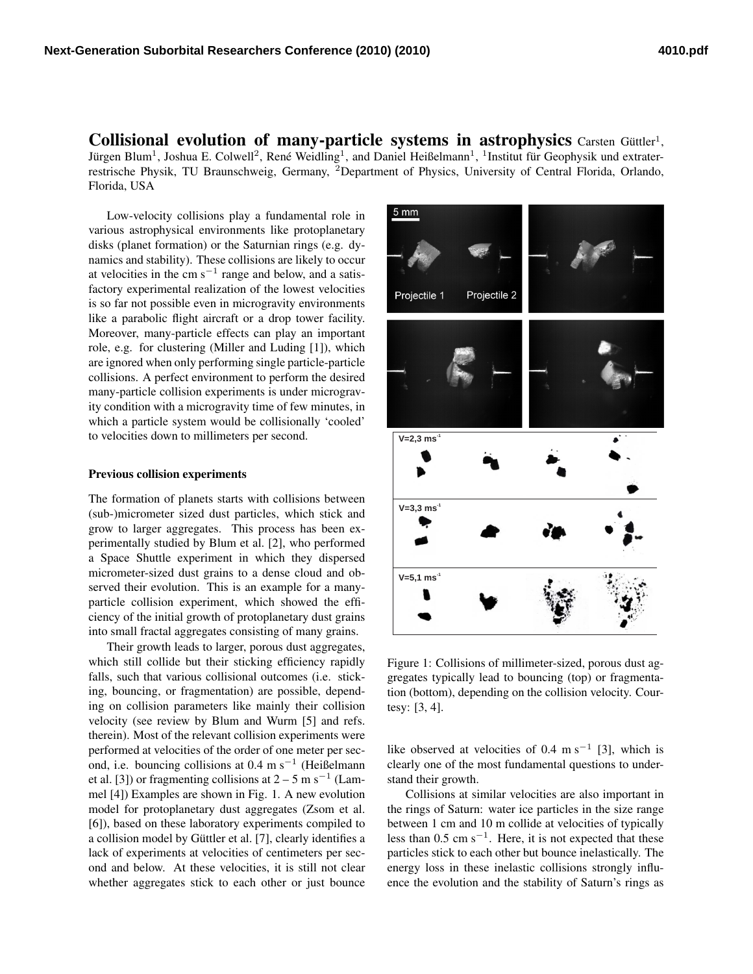Collisional evolution of many-particle systems in astrophysics Carsten Güttler<sup>1</sup>, Jürgen Blum<sup>1</sup>, Joshua E. Colwell<sup>2</sup>, René Weidling<sup>1</sup>, and Daniel Heißelmann<sup>1</sup>, <sup>1</sup>Institut für Geophysik und extraterrestrische Physik, TU Braunschweig, Germany, <sup>2</sup>Department of Physics, University of Central Florida, Orlando, Florida, USA

Low-velocity collisions play a fundamental role in various astrophysical environments like protoplanetary disks (planet formation) or the Saturnian rings (e.g. dynamics and stability). These collisions are likely to occur at velocities in the cm  $s^{-1}$  range and below, and a satisfactory experimental realization of the lowest velocities is so far not possible even in microgravity environments like a parabolic flight aircraft or a drop tower facility. Moreover, many-particle effects can play an important role, e.g. for clustering (Miller and Luding [1]), which are ignored when only performing single particle-particle collisions. A perfect environment to perform the desired many-particle collision experiments is under microgravity condition with a microgravity time of few minutes, in which a particle system would be collisionally 'cooled' to velocities down to millimeters per second.

## Previous collision experiments

The formation of planets starts with collisions between (sub-)micrometer sized dust particles, which stick and grow to larger aggregates. This process has been experimentally studied by Blum et al. [2], who performed a Space Shuttle experiment in which they dispersed micrometer-sized dust grains to a dense cloud and observed their evolution. This is an example for a manyparticle collision experiment, which showed the efficiency of the initial growth of protoplanetary dust grains into small fractal aggregates consisting of many grains.

Their growth leads to larger, porous dust aggregates, which still collide but their sticking efficiency rapidly falls, such that various collisional outcomes (i.e. sticking, bouncing, or fragmentation) are possible, depending on collision parameters like mainly their collision velocity (see review by Blum and Wurm [5] and refs. therein). Most of the relevant collision experiments were performed at velocities of the order of one meter per second, i.e. bouncing collisions at 0.4 m s<sup>−</sup><sup>1</sup> (Heißelmann et al. [3]) or fragmenting collisions at  $2 - 5$  m s<sup>-1</sup> (Lammel [4]) Examples are shown in Fig. 1. A new evolution model for protoplanetary dust aggregates (Zsom et al. [6]), based on these laboratory experiments compiled to a collision model by Güttler et al. [7], clearly identifies a lack of experiments at velocities of centimeters per second and below. At these velocities, it is still not clear whether aggregates stick to each other or just bounce



Figure 1: Collisions of millimeter-sized, porous dust aggregates typically lead to bouncing (top) or fragmentation (bottom), depending on the collision velocity. Courtesy: [3, 4].

like observed at velocities of 0.4 m s<sup>-1</sup> [3], which is clearly one of the most fundamental questions to understand their growth.

Collisions at similar velocities are also important in the rings of Saturn: water ice particles in the size range between 1 cm and 10 m collide at velocities of typically less than  $0.5 \text{ cm s}^{-1}$ . Here, it is not expected that these particles stick to each other but bounce inelastically. The energy loss in these inelastic collisions strongly influence the evolution and the stability of Saturn's rings as